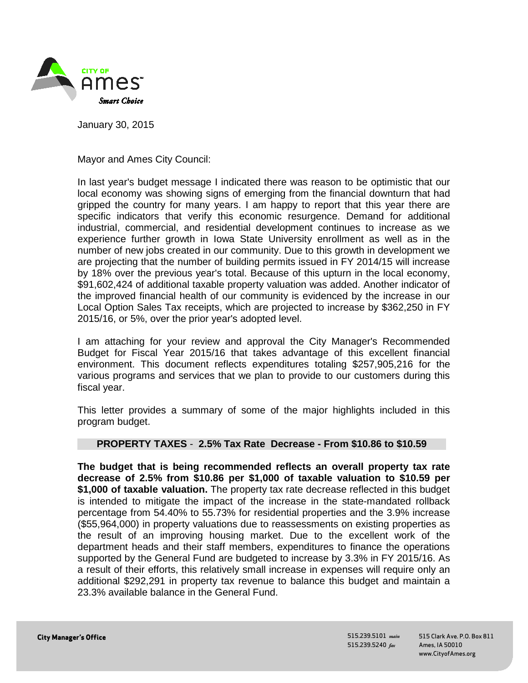

January 30, 2015

Mayor and Ames City Council:

In last year's budget message I indicated there was reason to be optimistic that our local economy was showing signs of emerging from the financial downturn that had gripped the country for many years. I am happy to report that this year there are specific indicators that verify this economic resurgence. Demand for additional industrial, commercial, and residential development continues to increase as we experience further growth in Iowa State University enrollment as well as in the number of new jobs created in our community. Due to this growth in development we are projecting that the number of building permits issued in FY 2014/15 will increase by 18% over the previous year's total. Because of this upturn in the local economy, \$91,602,424 of additional taxable property valuation was added. Another indicator of the improved financial health of our community is evidenced by the increase in our Local Option Sales Tax receipts, which are projected to increase by \$362,250 in FY 2015/16, or 5%, over the prior year's adopted level.

I am attaching for your review and approval the City Manager's Recommended Budget for Fiscal Year 2015/16 that takes advantage of this excellent financial environment. This document reflects expenditures totaling \$257,905,216 for the various programs and services that we plan to provide to our customers during this fiscal year.

This letter provides a summary of some of the major highlights included in this program budget.

## **PROPERTY TAXES** - **2.5% Tax Rate Decrease - From \$10.86 to \$10.59**

**The budget that is being recommended reflects an overall property tax rate decrease of 2.5% from \$10.86 per \$1,000 of taxable valuation to \$10.59 per \$1,000 of taxable valuation.** The property tax rate decrease reflected in this budget is intended to mitigate the impact of the increase in the state-mandated rollback percentage from 54.40% to 55.73% for residential properties and the 3.9% increase (\$55,964,000) in property valuations due to reassessments on existing properties as the result of an improving housing market. Due to the excellent work of the department heads and their staff members, expenditures to finance the operations supported by the General Fund are budgeted to increase by 3.3% in FY 2015/16. As a result of their efforts, this relatively small increase in expenses will require only an additional \$292,291 in property tax revenue to balance this budget and maintain a 23.3% available balance in the General Fund.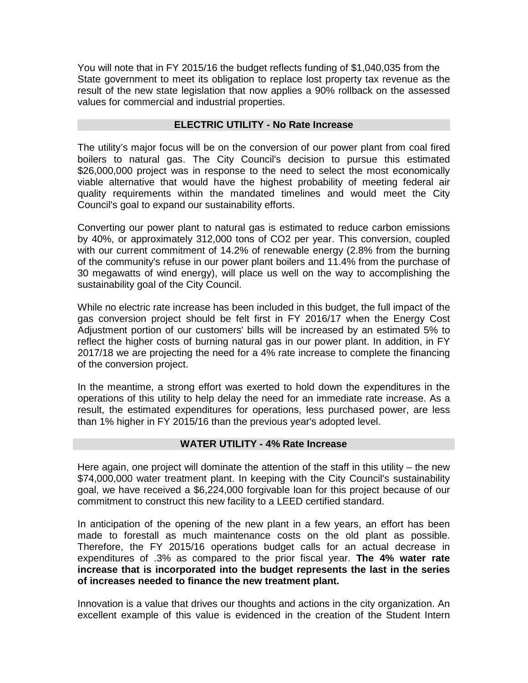You will note that in FY 2015/16 the budget reflects funding of \$1,040,035 from the State government to meet its obligation to replace lost property tax revenue as the result of the new state legislation that now applies a 90% rollback on the assessed values for commercial and industrial properties.

### **ELECTRIC UTILITY - No Rate Increase**

The utility's major focus will be on the conversion of our power plant from coal fired boilers to natural gas. The City Council's decision to pursue this estimated \$26,000,000 project was in response to the need to select the most economically viable alternative that would have the highest probability of meeting federal air quality requirements within the mandated timelines and would meet the City Council's goal to expand our sustainability efforts.

Converting our power plant to natural gas is estimated to reduce carbon emissions by 40%, or approximately 312,000 tons of CO2 per year. This conversion, coupled with our current commitment of 14.2% of renewable energy (2.8% from the burning of the community's refuse in our power plant boilers and 11.4% from the purchase of 30 megawatts of wind energy), will place us well on the way to accomplishing the sustainability goal of the City Council.

While no electric rate increase has been included in this budget, the full impact of the gas conversion project should be felt first in FY 2016/17 when the Energy Cost Adjustment portion of our customers' bills will be increased by an estimated 5% to reflect the higher costs of burning natural gas in our power plant. In addition, in FY 2017/18 we are projecting the need for a 4% rate increase to complete the financing of the conversion project.

In the meantime, a strong effort was exerted to hold down the expenditures in the operations of this utility to help delay the need for an immediate rate increase. As a result, the estimated expenditures for operations, less purchased power, are less than 1% higher in FY 2015/16 than the previous year's adopted level.

## **WATER UTILITY - 4% Rate Increase**

Here again, one project will dominate the attention of the staff in this utility – the new \$74,000,000 water treatment plant. In keeping with the City Council's sustainability goal, we have received a \$6,224,000 forgivable loan for this project because of our commitment to construct this new facility to a LEED certified standard.

In anticipation of the opening of the new plant in a few years, an effort has been made to forestall as much maintenance costs on the old plant as possible. Therefore, the FY 2015/16 operations budget calls for an actual decrease in expenditures of .3% as compared to the prior fiscal year. **The 4% water rate increase that is incorporated into the budget represents the last in the series of increases needed to finance the new treatment plant.**

Innovation is a value that drives our thoughts and actions in the city organization. An excellent example of this value is evidenced in the creation of the Student Intern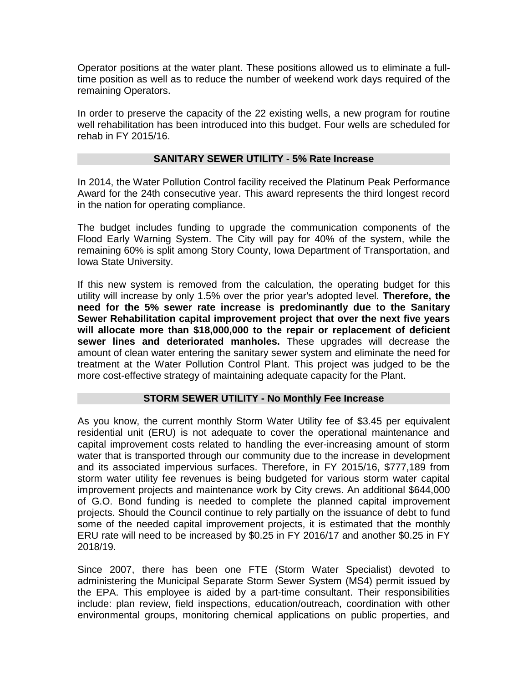Operator positions at the water plant. These positions allowed us to eliminate a fulltime position as well as to reduce the number of weekend work days required of the remaining Operators.

In order to preserve the capacity of the 22 existing wells, a new program for routine well rehabilitation has been introduced into this budget. Four wells are scheduled for rehab in FY 2015/16.

### **SANITARY SEWER UTILITY - 5% Rate Increase**

In 2014, the Water Pollution Control facility received the Platinum Peak Performance Award for the 24th consecutive year. This award represents the third longest record in the nation for operating compliance.

The budget includes funding to upgrade the communication components of the Flood Early Warning System. The City will pay for 40% of the system, while the remaining 60% is split among Story County, Iowa Department of Transportation, and Iowa State University.

If this new system is removed from the calculation, the operating budget for this utility will increase by only 1.5% over the prior year's adopted level. **Therefore, the need for the 5% sewer rate increase is predominantly due to the Sanitary Sewer Rehabilitation capital improvement project that over the next five years will allocate more than \$18,000,000 to the repair or replacement of deficient sewer lines and deteriorated manholes.** These upgrades will decrease the amount of clean water entering the sanitary sewer system and eliminate the need for treatment at the Water Pollution Control Plant. This project was judged to be the more cost-effective strategy of maintaining adequate capacity for the Plant.

## **STORM SEWER UTILITY - No Monthly Fee Increase**

As you know, the current monthly Storm Water Utility fee of \$3.45 per equivalent residential unit (ERU) is not adequate to cover the operational maintenance and capital improvement costs related to handling the ever-increasing amount of storm water that is transported through our community due to the increase in development and its associated impervious surfaces. Therefore, in FY 2015/16, \$777,189 from storm water utility fee revenues is being budgeted for various storm water capital improvement projects and maintenance work by City crews. An additional \$644,000 of G.O. Bond funding is needed to complete the planned capital improvement projects. Should the Council continue to rely partially on the issuance of debt to fund some of the needed capital improvement projects, it is estimated that the monthly ERU rate will need to be increased by \$0.25 in FY 2016/17 and another \$0.25 in FY 2018/19.

Since 2007, there has been one FTE (Storm Water Specialist) devoted to administering the Municipal Separate Storm Sewer System (MS4) permit issued by the EPA. This employee is aided by a part-time consultant. Their responsibilities include: plan review, field inspections, education/outreach, coordination with other environmental groups, monitoring chemical applications on public properties, and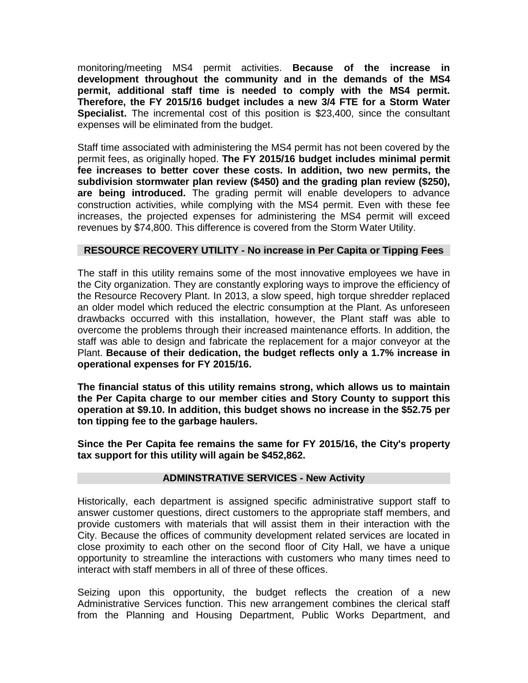monitoring/meeting MS4 permit activities. **Because of the increase in development throughout the community and in the demands of the MS4 permit, additional staff time is needed to comply with the MS4 permit. Therefore, the FY 2015/16 budget includes a new 3/4 FTE for a Storm Water Specialist.** The incremental cost of this position is \$23,400, since the consultant expenses will be eliminated from the budget.

Staff time associated with administering the MS4 permit has not been covered by the permit fees, as originally hoped. **The FY 2015/16 budget includes minimal permit fee increases to better cover these costs. In addition, two new permits, the subdivision stormwater plan review (\$450) and the grading plan review (\$250), are being introduced.** The grading permit will enable developers to advance construction activities, while complying with the MS4 permit. Even with these fee increases, the projected expenses for administering the MS4 permit will exceed revenues by \$74,800. This difference is covered from the Storm Water Utility.

## **RESOURCE RECOVERY UTILITY - No increase in Per Capita or Tipping Fees**

The staff in this utility remains some of the most innovative employees we have in the City organization. They are constantly exploring ways to improve the efficiency of the Resource Recovery Plant. In 2013, a slow speed, high torque shredder replaced an older model which reduced the electric consumption at the Plant. As unforeseen drawbacks occurred with this installation, however, the Plant staff was able to overcome the problems through their increased maintenance efforts. In addition, the staff was able to design and fabricate the replacement for a major conveyor at the Plant. **Because of their dedication, the budget reflects only a 1.7% increase in operational expenses for FY 2015/16.**

**The financial status of this utility remains strong, which allows us to maintain the Per Capita charge to our member cities and Story County to support this operation at \$9.10. In addition, this budget shows no increase in the \$52.75 per ton tipping fee to the garbage haulers.**

**Since the Per Capita fee remains the same for FY 2015/16, the City's property tax support for this utility will again be \$452,862.**

## **ADMINSTRATIVE SERVICES - New Activity**

Historically, each department is assigned specific administrative support staff to answer customer questions, direct customers to the appropriate staff members, and provide customers with materials that will assist them in their interaction with the City. Because the offices of community development related services are located in close proximity to each other on the second floor of City Hall, we have a unique opportunity to streamline the interactions with customers who many times need to interact with staff members in all of three of these offices.

Seizing upon this opportunity, the budget reflects the creation of a new Administrative Services function. This new arrangement combines the clerical staff from the Planning and Housing Department, Public Works Department, and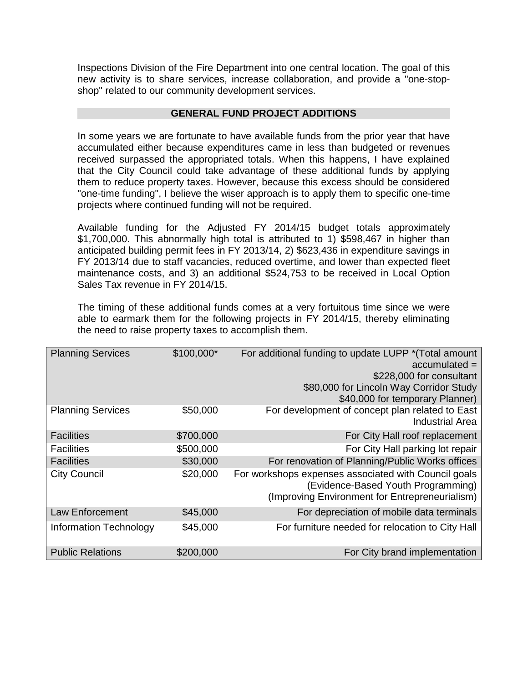Inspections Division of the Fire Department into one central location. The goal of this new activity is to share services, increase collaboration, and provide a "one-stopshop" related to our community development services.

# **GENERAL FUND PROJECT ADDITIONS**

In some years we are fortunate to have available funds from the prior year that have accumulated either because expenditures came in less than budgeted or revenues received surpassed the appropriated totals. When this happens, I have explained that the City Council could take advantage of these additional funds by applying them to reduce property taxes. However, because this excess should be considered "one-time funding", I believe the wiser approach is to apply them to specific one-time projects where continued funding will not be required.

Available funding for the Adjusted FY 2014/15 budget totals approximately \$1,700,000. This abnormally high total is attributed to 1) \$598,467 in higher than anticipated building permit fees in FY 2013/14, 2) \$623,436 in expenditure savings in FY 2013/14 due to staff vacancies, reduced overtime, and lower than expected fleet maintenance costs, and 3) an additional \$524,753 to be received in Local Option Sales Tax revenue in FY 2014/15.

The timing of these additional funds comes at a very fortuitous time since we were able to earmark them for the following projects in FY 2014/15, thereby eliminating the need to raise property taxes to accomplish them.

| <b>Planning Services</b>      | \$100,000* | For additional funding to update LUPP * (Total amount<br>$accumulated =$<br>\$228,000 for consultant                                         |
|-------------------------------|------------|----------------------------------------------------------------------------------------------------------------------------------------------|
|                               |            | \$80,000 for Lincoln Way Corridor Study<br>\$40,000 for temporary Planner)                                                                   |
| <b>Planning Services</b>      | \$50,000   | For development of concept plan related to East<br><b>Industrial Area</b>                                                                    |
| <b>Facilities</b>             | \$700,000  | For City Hall roof replacement                                                                                                               |
| <b>Facilities</b>             | \$500,000  | For City Hall parking lot repair                                                                                                             |
| <b>Facilities</b>             | \$30,000   | For renovation of Planning/Public Works offices                                                                                              |
| <b>City Council</b>           | \$20,000   | For workshops expenses associated with Council goals<br>(Evidence-Based Youth Programming)<br>(Improving Environment for Entrepreneurialism) |
| <b>Law Enforcement</b>        | \$45,000   | For depreciation of mobile data terminals                                                                                                    |
| <b>Information Technology</b> | \$45,000   | For furniture needed for relocation to City Hall                                                                                             |
| <b>Public Relations</b>       | \$200,000  | For City brand implementation                                                                                                                |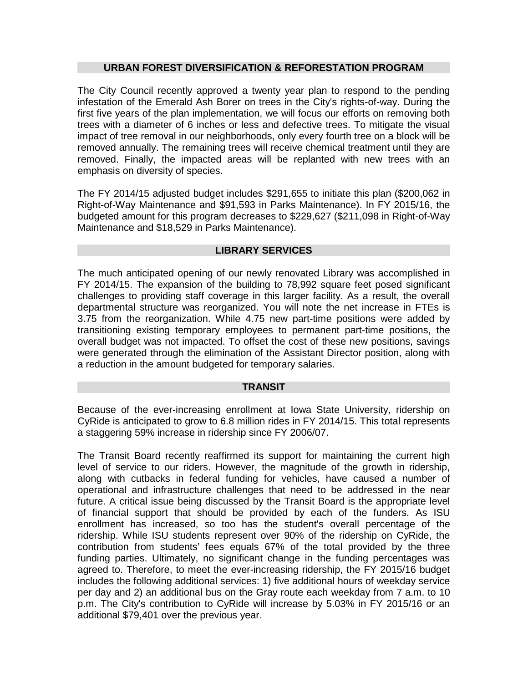### **URBAN FOREST DIVERSIFICATION & REFORESTATION PROGRAM**

The City Council recently approved a twenty year plan to respond to the pending infestation of the Emerald Ash Borer on trees in the City's rights-of-way. During the first five years of the plan implementation, we will focus our efforts on removing both trees with a diameter of 6 inches or less and defective trees. To mitigate the visual impact of tree removal in our neighborhoods, only every fourth tree on a block will be removed annually. The remaining trees will receive chemical treatment until they are removed. Finally, the impacted areas will be replanted with new trees with an emphasis on diversity of species.

The FY 2014/15 adjusted budget includes \$291,655 to initiate this plan (\$200,062 in Right-of-Way Maintenance and \$91,593 in Parks Maintenance). In FY 2015/16, the budgeted amount for this program decreases to \$229,627 (\$211,098 in Right-of-Way Maintenance and \$18,529 in Parks Maintenance).

#### **LIBRARY SERVICES**

The much anticipated opening of our newly renovated Library was accomplished in FY 2014/15. The expansion of the building to 78,992 square feet posed significant challenges to providing staff coverage in this larger facility. As a result, the overall departmental structure was reorganized. You will note the net increase in FTEs is 3.75 from the reorganization. While 4.75 new part-time positions were added by transitioning existing temporary employees to permanent part-time positions, the overall budget was not impacted. To offset the cost of these new positions, savings were generated through the elimination of the Assistant Director position, along with a reduction in the amount budgeted for temporary salaries.

#### **TRANSIT**

Because of the ever-increasing enrollment at Iowa State University, ridership on CyRide is anticipated to grow to 6.8 million rides in FY 2014/15. This total represents a staggering 59% increase in ridership since FY 2006/07.

The Transit Board recently reaffirmed its support for maintaining the current high level of service to our riders. However, the magnitude of the growth in ridership, along with cutbacks in federal funding for vehicles, have caused a number of operational and infrastructure challenges that need to be addressed in the near future. A critical issue being discussed by the Transit Board is the appropriate level of financial support that should be provided by each of the funders. As ISU enrollment has increased, so too has the student's overall percentage of the ridership. While ISU students represent over 90% of the ridership on CyRide, the contribution from students' fees equals 67% of the total provided by the three funding parties. Ultimately, no significant change in the funding percentages was agreed to. Therefore, to meet the ever-increasing ridership, the FY 2015/16 budget includes the following additional services: 1) five additional hours of weekday service per day and 2) an additional bus on the Gray route each weekday from 7 a.m. to 10 p.m. The City's contribution to CyRide will increase by 5.03% in FY 2015/16 or an additional \$79,401 over the previous year.